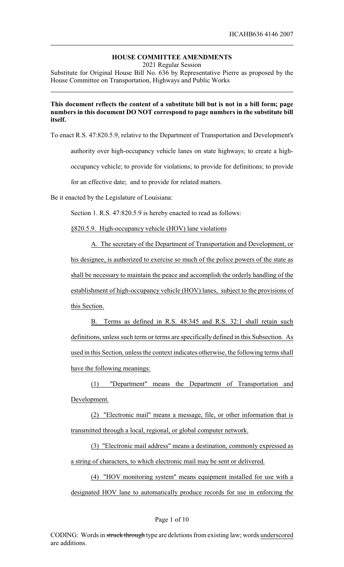# **HOUSE COMMITTEE AMENDMENTS**

2021 Regular Session

Substitute for Original House Bill No. 636 by Representative Pierre as proposed by the House Committee on Transportation, Highways and Public Works

## **This document reflects the content of a substitute bill but is not in a bill form; page numbers in this document DO NOT correspond to page numbers in the substitute bill itself.**

To enact R.S. 47:820.5.9, relative to the Department of Transportation and Development's

authority over high-occupancy vehicle lanes on state highways; to create a high-

occupancy vehicle; to provide for violations; to provide for definitions; to provide

for an effective date; and to provide for related matters.

Be it enacted by the Legislature of Louisiana:

Section 1. R.S. 47:820.5.9 is hereby enacted to read as follows:

§820.5.9. High-occupancy vehicle (HOV) lane violations

A. The secretary of the Department of Transportation and Development, or his designee, is authorized to exercise so much of the police powers of the state as shall be necessary to maintain the peace and accomplish the orderly handling of the establishment of high-occupancy vehicle (HOV) lanes, subject to the provisions of this Section.

B. Terms as defined in R.S. 48:345 and R.S. 32:1 shall retain such definitions, unless such term or terms are specifically defined in this Subsection. As used in this Section, unless the context indicates otherwise, the following terms shall have the following meanings:

(1) "Department" means the Department of Transportation and Development.

(2) "Electronic mail" means a message, file, or other information that is transmitted through a local, regional, or global computer network.

(3) "Electronic mail address" means a destination, commonly expressed as a string of characters, to which electronic mail may be sent or delivered.

(4) "HOV monitoring system" means equipment installed for use with a designated HOV lane to automatically produce records for use in enforcing the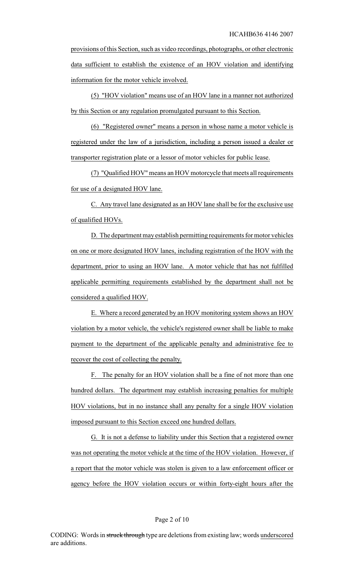provisions of this Section, such as video recordings, photographs, or other electronic data sufficient to establish the existence of an HOV violation and identifying information for the motor vehicle involved.

(5) "HOV violation" means use of an HOV lane in a manner not authorized by this Section or any regulation promulgated pursuant to this Section.

(6) "Registered owner" means a person in whose name a motor vehicle is registered under the law of a jurisdiction, including a person issued a dealer or transporter registration plate or a lessor of motor vehicles for public lease.

(7) "Qualified HOV" means an HOV motorcycle that meets all requirements for use of a designated HOV lane.

C. Any travel lane designated as an HOV lane shall be for the exclusive use of qualified HOVs.

D. The department may establish permitting requirements for motor vehicles on one or more designated HOV lanes, including registration of the HOV with the department, prior to using an HOV lane. A motor vehicle that has not fulfilled applicable permitting requirements established by the department shall not be considered a qualified HOV.

E. Where a record generated by an HOV monitoring system shows an HOV violation by a motor vehicle, the vehicle's registered owner shall be liable to make payment to the department of the applicable penalty and administrative fee to recover the cost of collecting the penalty.

F. The penalty for an HOV violation shall be a fine of not more than one hundred dollars. The department may establish increasing penalties for multiple HOV violations, but in no instance shall any penalty for a single HOV violation imposed pursuant to this Section exceed one hundred dollars.

G. It is not a defense to liability under this Section that a registered owner was not operating the motor vehicle at the time of the HOV violation. However, if a report that the motor vehicle was stolen is given to a law enforcement officer or agency before the HOV violation occurs or within forty-eight hours after the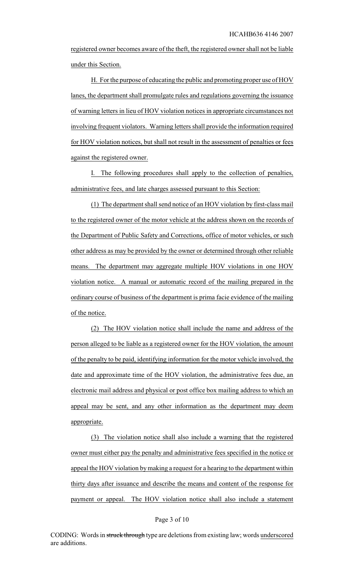registered owner becomes aware of the theft, the registered owner shall not be liable under this Section.

H. For the purpose of educating the public and promoting proper use of HOV lanes, the department shall promulgate rules and regulations governing the issuance of warning letters in lieu of HOV violation notices in appropriate circumstances not involving frequent violators. Warning letters shall provide the information required for HOV violation notices, but shall not result in the assessment of penalties or fees against the registered owner.

I. The following procedures shall apply to the collection of penalties, administrative fees, and late charges assessed pursuant to this Section:

(1) The department shall send notice of an HOV violation by first-class mail to the registered owner of the motor vehicle at the address shown on the records of the Department of Public Safety and Corrections, office of motor vehicles, or such other address as may be provided by the owner or determined through other reliable means. The department may aggregate multiple HOV violations in one HOV violation notice. A manual or automatic record of the mailing prepared in the ordinary course of business of the department is prima facie evidence of the mailing of the notice.

(2) The HOV violation notice shall include the name and address of the person alleged to be liable as a registered owner for the HOV violation, the amount of the penalty to be paid, identifying information for the motor vehicle involved, the date and approximate time of the HOV violation, the administrative fees due, an electronic mail address and physical or post office box mailing address to which an appeal may be sent, and any other information as the department may deem appropriate.

(3) The violation notice shall also include a warning that the registered owner must either pay the penalty and administrative fees specified in the notice or appeal the HOV violation bymaking a request for a hearing to the department within thirty days after issuance and describe the means and content of the response for payment or appeal. The HOV violation notice shall also include a statement

#### Page 3 of 10

CODING: Words in struck through type are deletions from existing law; words underscored are additions.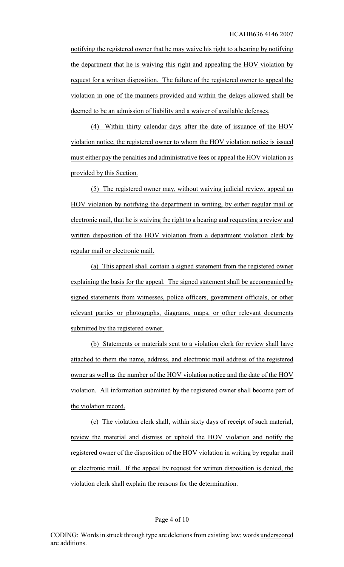notifying the registered owner that he may waive his right to a hearing by notifying the department that he is waiving this right and appealing the HOV violation by request for a written disposition. The failure of the registered owner to appeal the violation in one of the manners provided and within the delays allowed shall be deemed to be an admission of liability and a waiver of available defenses.

(4) Within thirty calendar days after the date of issuance of the HOV violation notice, the registered owner to whom the HOV violation notice is issued must either pay the penalties and administrative fees or appeal the HOV violation as provided by this Section.

(5) The registered owner may, without waiving judicial review, appeal an HOV violation by notifying the department in writing, by either regular mail or electronic mail, that he is waiving the right to a hearing and requesting a review and written disposition of the HOV violation from a department violation clerk by regular mail or electronic mail.

(a) This appeal shall contain a signed statement from the registered owner explaining the basis for the appeal. The signed statement shall be accompanied by signed statements from witnesses, police officers, government officials, or other relevant parties or photographs, diagrams, maps, or other relevant documents submitted by the registered owner.

(b) Statements or materials sent to a violation clerk for review shall have attached to them the name, address, and electronic mail address of the registered owner as well as the number of the HOV violation notice and the date of the HOV violation. All information submitted by the registered owner shall become part of the violation record.

(c) The violation clerk shall, within sixty days of receipt of such material, review the material and dismiss or uphold the HOV violation and notify the registered owner of the disposition of the HOV violation in writing by regular mail or electronic mail. If the appeal by request for written disposition is denied, the violation clerk shall explain the reasons for the determination.

### Page 4 of 10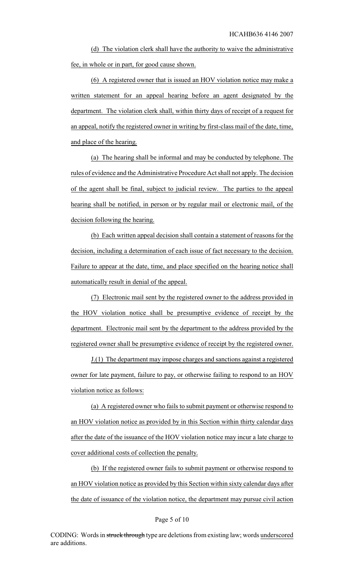(d) The violation clerk shall have the authority to waive the administrative fee, in whole or in part, for good cause shown.

(6) A registered owner that is issued an HOV violation notice may make a written statement for an appeal hearing before an agent designated by the department. The violation clerk shall, within thirty days of receipt of a request for an appeal, notify the registered owner in writing by first-class mail of the date, time, and place of the hearing.

(a) The hearing shall be informal and may be conducted by telephone. The rules of evidence and the Administrative Procedure Act shall not apply. The decision of the agent shall be final, subject to judicial review. The parties to the appeal hearing shall be notified, in person or by regular mail or electronic mail, of the decision following the hearing.

(b) Each written appeal decision shall contain a statement of reasons for the decision, including a determination of each issue of fact necessary to the decision. Failure to appear at the date, time, and place specified on the hearing notice shall automatically result in denial of the appeal.

(7) Electronic mail sent by the registered owner to the address provided in the HOV violation notice shall be presumptive evidence of receipt by the department. Electronic mail sent by the department to the address provided by the registered owner shall be presumptive evidence of receipt by the registered owner.

J.(1) The department may impose charges and sanctions against a registered owner for late payment, failure to pay, or otherwise failing to respond to an HOV violation notice as follows:

(a) A registered owner who fails to submit payment or otherwise respond to an HOV violation notice as provided by in this Section within thirty calendar days after the date of the issuance of the HOV violation notice may incur a late charge to cover additional costs of collection the penalty.

(b) If the registered owner fails to submit payment or otherwise respond to an HOV violation notice as provided by this Section within sixty calendar days after the date of issuance of the violation notice, the department may pursue civil action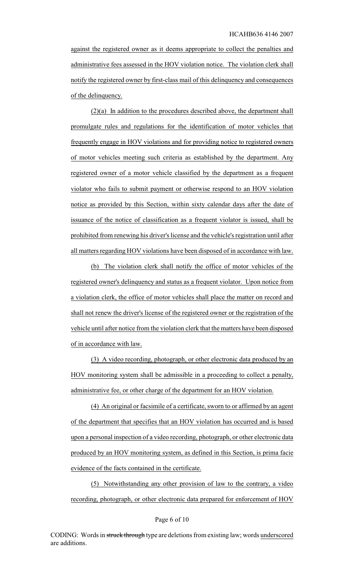against the registered owner as it deems appropriate to collect the penalties and administrative fees assessed in the HOV violation notice. The violation clerk shall notify the registered owner by first-class mail of this delinquency and consequences of the delinquency.

(2)(a) In addition to the procedures described above, the department shall promulgate rules and regulations for the identification of motor vehicles that frequently engage in HOV violations and for providing notice to registered owners of motor vehicles meeting such criteria as established by the department. Any registered owner of a motor vehicle classified by the department as a frequent violator who fails to submit payment or otherwise respond to an HOV violation notice as provided by this Section, within sixty calendar days after the date of issuance of the notice of classification as a frequent violator is issued, shall be prohibited from renewing his driver's license and the vehicle's registration until after all matters regarding HOV violations have been disposed of in accordance with law.

(b) The violation clerk shall notify the office of motor vehicles of the registered owner's delinquency and status as a frequent violator. Upon notice from a violation clerk, the office of motor vehicles shall place the matter on record and shall not renew the driver's license of the registered owner or the registration of the vehicle until after notice from the violation clerk that the matters have been disposed of in accordance with law.

(3) A video recording, photograph, or other electronic data produced by an HOV monitoring system shall be admissible in a proceeding to collect a penalty, administrative fee, or other charge of the department for an HOV violation.

(4) An original or facsimile of a certificate, sworn to or affirmed by an agent of the department that specifies that an HOV violation has occurred and is based upon a personal inspection of a video recording, photograph, or other electronic data produced by an HOV monitoring system, as defined in this Section, is prima facie evidence of the facts contained in the certificate.

(5) Notwithstanding any other provision of law to the contrary, a video recording, photograph, or other electronic data prepared for enforcement of HOV

### Page 6 of 10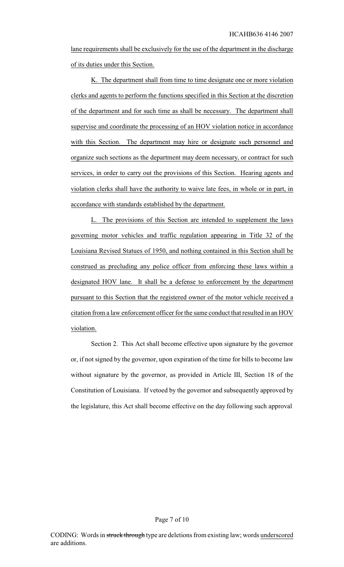lane requirements shall be exclusively for the use of the department in the discharge of its duties under this Section.

K. The department shall from time to time designate one or more violation clerks and agents to perform the functions specified in this Section at the discretion of the department and for such time as shall be necessary. The department shall supervise and coordinate the processing of an HOV violation notice in accordance with this Section. The department may hire or designate such personnel and organize such sections as the department may deem necessary, or contract for such services, in order to carry out the provisions of this Section. Hearing agents and violation clerks shall have the authority to waive late fees, in whole or in part, in accordance with standards established by the department.

L. The provisions of this Section are intended to supplement the laws governing motor vehicles and traffic regulation appearing in Title 32 of the Louisiana Revised Statues of 1950, and nothing contained in this Section shall be construed as precluding any police officer from enforcing these laws within a designated HOV lane. It shall be a defense to enforcement by the department pursuant to this Section that the registered owner of the motor vehicle received a citation from a law enforcement officer for the same conduct that resulted in an HOV violation.

Section 2. This Act shall become effective upon signature by the governor or, if not signed by the governor, upon expiration of the time for bills to become law without signature by the governor, as provided in Article III, Section 18 of the Constitution of Louisiana. If vetoed by the governor and subsequently approved by the legislature, this Act shall become effective on the day following such approval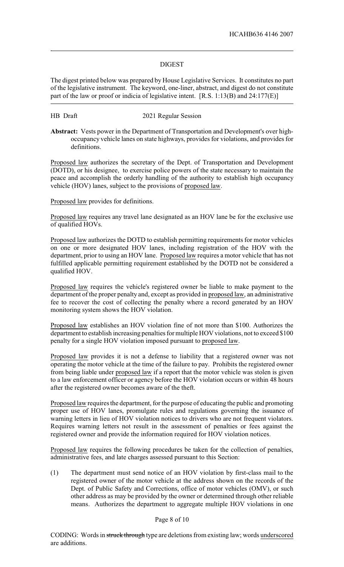## **DIGEST**

The digest printed below was prepared by House Legislative Services. It constitutes no part of the legislative instrument. The keyword, one-liner, abstract, and digest do not constitute part of the law or proof or indicia of legislative intent. [R.S. 1:13(B) and 24:177(E)]

.

HB Draft 2021 Regular Session

**Abstract:** Vests power in the Department of Transportation and Development's over highoccupancy vehicle lanes on state highways, provides for violations, and provides for definitions.

Proposed law authorizes the secretary of the Dept. of Transportation and Development (DOTD), or his designee, to exercise police powers of the state necessary to maintain the peace and accomplish the orderly handling of the authority to establish high occupancy vehicle (HOV) lanes, subject to the provisions of proposed law.

Proposed law provides for definitions.

Proposed law requires any travel lane designated as an HOV lane be for the exclusive use of qualified HOVs.

Proposed law authorizes the DOTD to establish permitting requirements for motor vehicles on one or more designated HOV lanes, including registration of the HOV with the department, prior to using an HOV lane. Proposed law requires a motor vehicle that has not fulfilled applicable permitting requirement established by the DOTD not be considered a qualified HOV.

Proposed law requires the vehicle's registered owner be liable to make payment to the department of the proper penalty and, except as provided in proposed law, an administrative fee to recover the cost of collecting the penalty where a record generated by an HOV monitoring system shows the HOV violation.

Proposed law establishes an HOV violation fine of not more than \$100. Authorizes the department to establish increasing penalties for multiple HOV violations, not to exceed \$100 penalty for a single HOV violation imposed pursuant to proposed law.

Proposed law provides it is not a defense to liability that a registered owner was not operating the motor vehicle at the time of the failure to pay. Prohibits the registered owner from being liable under proposed law if a report that the motor vehicle was stolen is given to a law enforcement officer or agency before the HOV violation occurs or within 48 hours after the registered owner becomes aware of the theft.

Proposed law requires the department, for the purpose of educating the public and promoting proper use of HOV lanes, promulgate rules and regulations governing the issuance of warning letters in lieu of HOV violation notices to drivers who are not frequent violators. Requires warning letters not result in the assessment of penalties or fees against the registered owner and provide the information required for HOV violation notices.

Proposed law requires the following procedures be taken for the collection of penalties, administrative fees, and late charges assessed pursuant to this Section:

(1) The department must send notice of an HOV violation by first-class mail to the registered owner of the motor vehicle at the address shown on the records of the Dept. of Public Safety and Corrections, office of motor vehicles (OMV), or such other address as may be provided by the owner or determined through other reliable means. Authorizes the department to aggregate multiple HOV violations in one

## Page 8 of 10

CODING: Words in struck through type are deletions from existing law; words underscored are additions.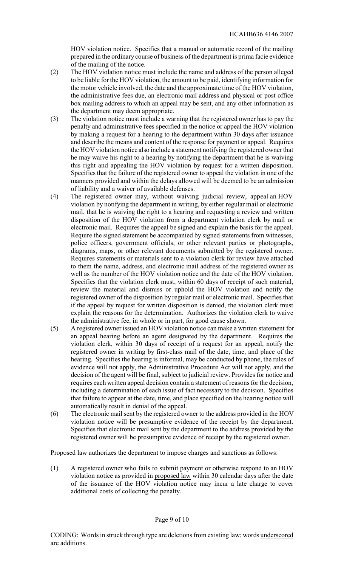HOV violation notice. Specifies that a manual or automatic record of the mailing prepared in the ordinary course of business of the department is prima facie evidence of the mailing of the notice.

- (2) The HOV violation notice must include the name and address of the person alleged to be liable for the HOV violation, the amount to be paid, identifying information for the motor vehicle involved, the date and the approximate time of the HOV violation, the administrative fees due, an electronic mail address and physical or post office box mailing address to which an appeal may be sent, and any other information as the department may deem appropriate.
- (3) The violation notice must include a warning that the registered owner has to pay the penalty and administrative fees specified in the notice or appeal the HOV violation by making a request for a hearing to the department within 30 days after issuance and describe the means and content of the response for payment or appeal. Requires the HOV violation notice also include a statement notifying the registered owner that he may waive his right to a hearing by notifying the department that he is waiving this right and appealing the HOV violation by request for a written disposition. Specifies that the failure of the registered owner to appeal the violation in one of the manners provided and within the delays allowed will be deemed to be an admission of liability and a waiver of available defenses.
- (4) The registered owner may, without waiving judicial review, appeal an HOV violation by notifying the department in writing, by either regular mail or electronic mail, that he is waiving the right to a hearing and requesting a review and written disposition of the HOV violation from a department violation clerk by mail or electronic mail. Requires the appeal be signed and explain the basis for the appeal. Require the signed statement be accompanied by signed statements from witnesses, police officers, government officials, or other relevant parties or photographs, diagrams, maps, or other relevant documents submitted by the registered owner. Requires statements or materials sent to a violation clerk for review have attached to them the name, address, and electronic mail address of the registered owner as well as the number of the HOV violation notice and the date of the HOV violation. Specifies that the violation clerk must, within 60 days of receipt of such material, review the material and dismiss or uphold the HOV violation and notify the registered owner of the disposition by regular mail or electronic mail. Specifies that if the appeal by request for written disposition is denied, the violation clerk must explain the reasons for the determination. Authorizes the violation clerk to waive the administrative fee, in whole or in part, for good cause shown.
- (5) A registered owner issued an HOV violation notice can make a written statement for an appeal hearing before an agent designated by the department. Requires the violation clerk, within 30 days of receipt of a request for an appeal, notify the registered owner in writing by first-class mail of the date, time, and place of the hearing. Specifies the hearing is informal, may be conducted by phone, the rules of evidence will not apply, the Administrative Procedure Act will not apply, and the decision of the agent will be final, subject to judicial review. Provides for notice and requires each written appeal decision contain a statement of reasons for the decision, including a determination of each issue of fact necessary to the decision. Specifies that failure to appear at the date, time, and place specified on the hearing notice will automatically result in denial of the appeal.
- (6) The electronic mail sent by the registered owner to the address provided in the HOV violation notice will be presumptive evidence of the receipt by the department. Specifies that electronic mail sent by the department to the address provided by the registered owner will be presumptive evidence of receipt by the registered owner.

Proposed law authorizes the department to impose charges and sanctions as follows:

(1) A registered owner who fails to submit payment or otherwise respond to an HOV violation notice as provided in proposed law within 30 calendar days after the date of the issuance of the HOV violation notice may incur a late charge to cover additional costs of collecting the penalty.